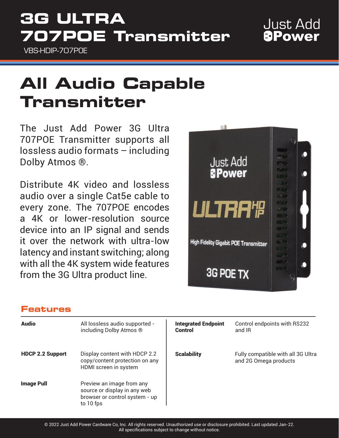# **3G ULTRA 707POE Transmitter**

VBS-HDIP-707POE

## **Just Add** *<u>BPower</u>*

# **All Audio Capable Transmitter**

The Just Add Power 3G Ultra 707POE Transmitter supports all lossless audio formats – including Dolby Atmos ®.

Distribute 4K video and lossless audio over a single Cat5e cable to every zone. The 707POE encodes a 4K or lower-resolution source device into an IP signal and sends it over the network with ultra-low latency and instant switching; along with all the 4K system wide features from the 3G Ultra product line.



### **Features**

| <b>Audio</b>            | All lossless audio supported -<br>including Dolby Atmos ®                                                | <b>Integrated Endpoint</b><br><b>Control</b> | Control endpoints with RS232<br>and IR                      |
|-------------------------|----------------------------------------------------------------------------------------------------------|----------------------------------------------|-------------------------------------------------------------|
| <b>HDCP 2.2 Support</b> | Display content with HDCP 2.2<br>copy/content protection on any<br>HDMI screen in system                 | <b>Scalability</b>                           | Fully compatible with all 3G Ultra<br>and 2G Omega products |
| <b>Image Pull</b>       | Preview an image from any<br>source or display in any web<br>browser or control system - up<br>to 10 fps |                                              |                                                             |